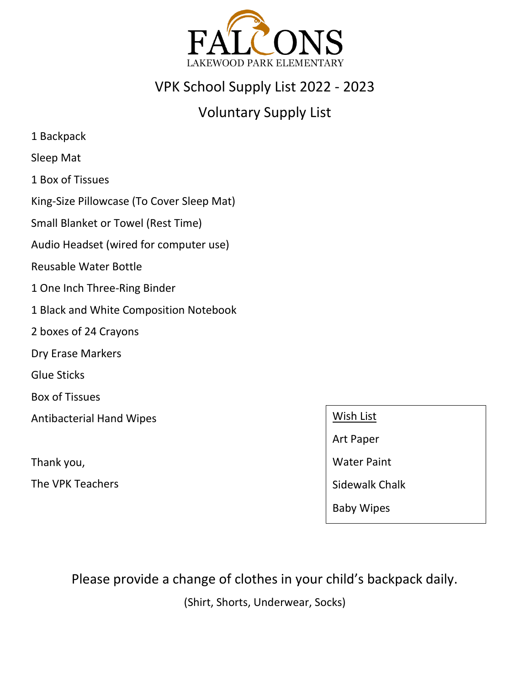

## VPK School Supply List 2022 - 2023

# Voluntary Supply List

- 1 Backpack
- Sleep Mat
- 1 Box of Tissues
- King-Size Pillowcase (To Cover Sleep Mat)
- Small Blanket or Towel (Rest Time)
- Audio Headset (wired for computer use)
- Reusable Water Bottle
- 1 One Inch Three-Ring Binder
- 1 Black and White Composition Notebook
- 2 boxes of 24 Crayons
- Dry Erase Markers
- Glue Sticks
- Box of Tissues
- Antibacterial Hand Wipes
- Thank you,
- The VPK Teachers
- Wish List
- Art Paper
- Water Paint
- Sidewalk Chalk
- Baby Wipes

Please provide a change of clothes in your child's backpack daily.

(Shirt, Shorts, Underwear, Socks)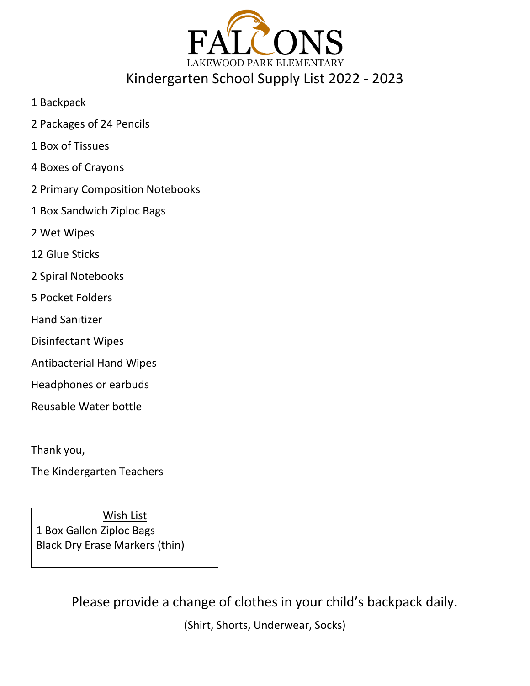

1 Backpack

- 2 Packages of 24 Pencils
- 1 Box of Tissues
- 4 Boxes of Crayons
- 2 Primary Composition Notebooks
- 1 Box Sandwich Ziploc Bags
- 2 Wet Wipes
- 12 Glue Sticks
- 2 Spiral Notebooks
- 5 Pocket Folders
- Hand Sanitizer
- Disinfectant Wipes
- Antibacterial Hand Wipes
- Headphones or earbuds
- Reusable Water bottle

Thank you,

The Kindergarten Teachers

Wish List 1 Box Gallon Ziploc Bags Black Dry Erase Markers (thin)

Please provide a change of clothes in your child's backpack daily.

(Shirt, Shorts, Underwear, Socks)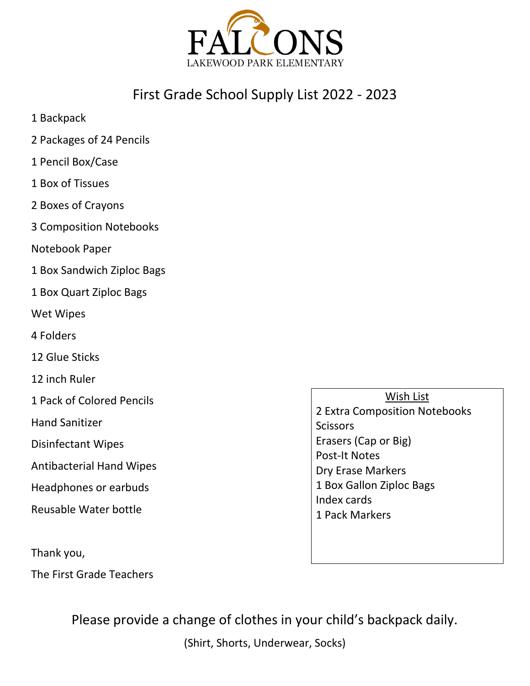

## First Grade School Supply List 2022 - 2023

- 1 Backpack
- 2 Packages of 24 Pencils
- 1 Pencil Box/Case
- 1 Box of Tissues
- 2 Boxes of Crayons
- 3 Composition Notebooks
- Notebook Paper
- 1 Box Sandwich Ziploc Bags
- 1 Box Quart Ziploc Bags
- Wet Wipes
- 4 Folders
- 12 Glue Sticks
- 12 inch Ruler
- 1 Pack of Colored Pencils
- Hand Sanitizer
- Disinfectant Wipes
- Antibacterial Hand Wipes
- Headphones or earbuds
- Reusable Water bottle

Thank you,

The First Grade Teachers

Wish List 2 Extra Composition Notebooks **Scissors** Erasers (Cap or Big) Post-It Notes Dry Erase Markers 1 Box Gallon Ziploc Bags Index cards 1 Pack Markers

Please provide a change of clothes in your child's backpack daily.

(Shirt, Shorts, Underwear, Socks)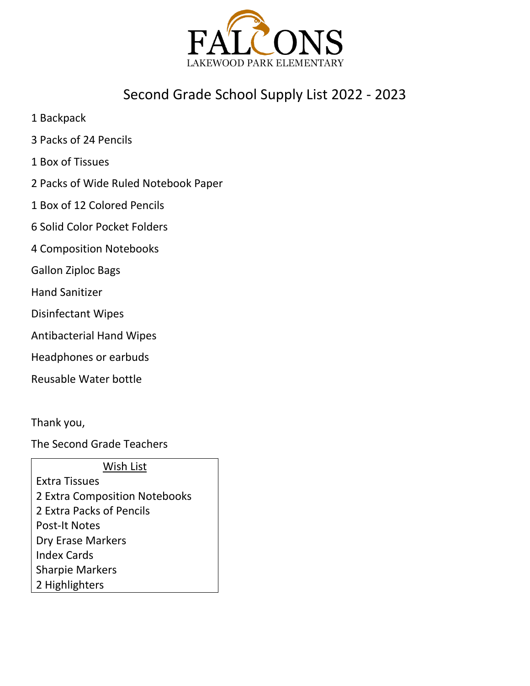

# Second Grade School Supply List 2022 - 2023

- 1 Backpack
- 3 Packs of 24 Pencils
- 1 Box of Tissues
- 2 Packs of Wide Ruled Notebook Paper
- 1 Box of 12 Colored Pencils
- 6 Solid Color Pocket Folders
- 4 Composition Notebooks
- Gallon Ziploc Bags
- Hand Sanitizer
- Disinfectant Wipes
- Antibacterial Hand Wipes
- Headphones or earbuds
- Reusable Water bottle

Thank you,

The Second Grade Teachers

Wish List

Extra Tissues 2 Extra Composition Notebooks 2 Extra Packs of Pencils Post-It Notes Dry Erase Markers Index Cards Sharpie Markers 2 Highlighters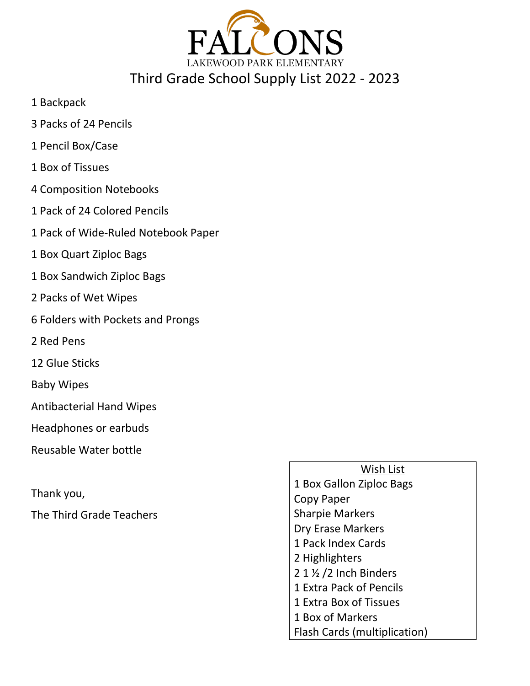

- 1 Backpack
- 3 Packs of 24 Pencils
- 1 Pencil Box/Case
- 1 Box of Tissues
- 4 Composition Notebooks
- 1 Pack of 24 Colored Pencils
- 1 Pack of Wide-Ruled Notebook Paper
- 1 Box Quart Ziploc Bags
- 1 Box Sandwich Ziploc Bags
- 2 Packs of Wet Wipes
- 6 Folders with Pockets and Prongs
- 2 Red Pens
- 12 Glue Sticks
- Baby Wipes
- Antibacterial Hand Wipes
- Headphones or earbuds
- Reusable Water bottle
- Thank you,
- The Third Grade Teachers

#### Wish List

1 Box Gallon Ziploc Bags Copy Paper Sharpie Markers Dry Erase Markers 1 Pack Index Cards 2 Highlighters 2 1 ½ /2 Inch Binders 1 Extra Pack of Pencils 1 Extra Box of Tissues 1 Box of Markers Flash Cards (multiplication)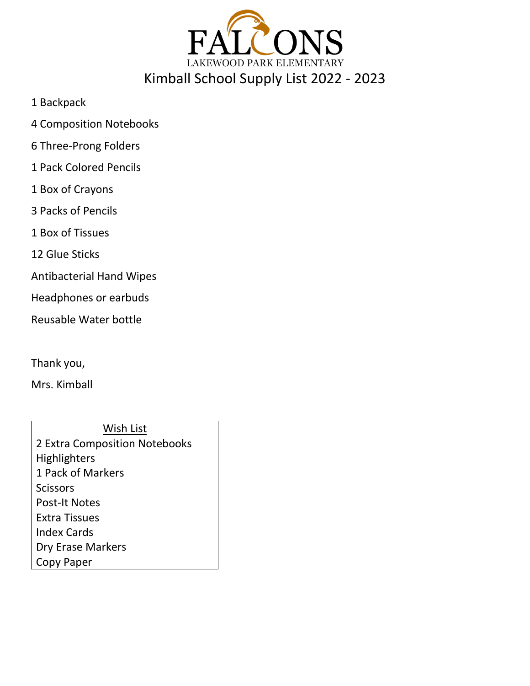

- 1 Backpack
- 4 Composition Notebooks
- 6 Three-Prong Folders
- 1 Pack Colored Pencils
- 1 Box of Crayons
- 3 Packs of Pencils
- 1 Box of Tissues
- 12 Glue Sticks
- Antibacterial Hand Wipes
- Headphones or earbuds
- Reusable Water bottle
- Thank you,
- Mrs. Kimball

Wish List 2 Extra Composition Notebooks Highlighters 1 Pack of Markers **Scissors** Post-It Notes Extra Tissues Index Cards Dry Erase Markers Copy Paper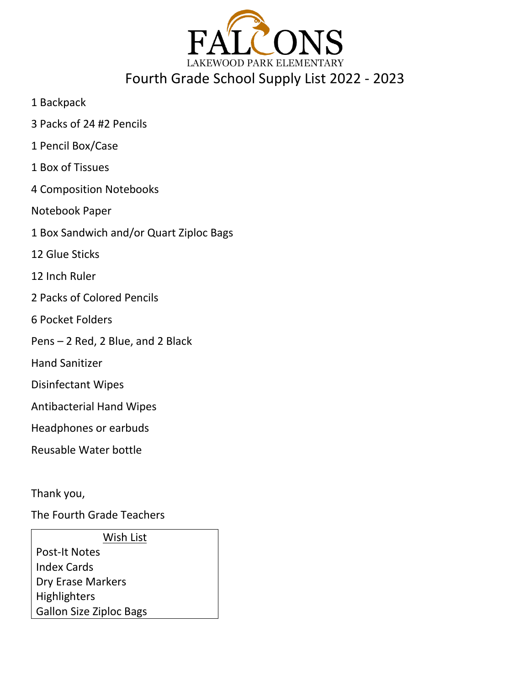

- 1 Backpack
- 3 Packs of 24 #2 Pencils
- 1 Pencil Box/Case
- 1 Box of Tissues
- 4 Composition Notebooks
- Notebook Paper
- 1 Box Sandwich and/or Quart Ziploc Bags
- 12 Glue Sticks
- 12 Inch Ruler
- 2 Packs of Colored Pencils
- 6 Pocket Folders
- Pens 2 Red, 2 Blue, and 2 Black
- Hand Sanitizer
- Disinfectant Wipes
- Antibacterial Hand Wipes
- Headphones or earbuds
- Reusable Water bottle
- Thank you,
- The Fourth Grade Teachers
- Wish List Post-It Notes Index Cards Dry Erase Markers Highlighters Gallon Size Ziploc Bags